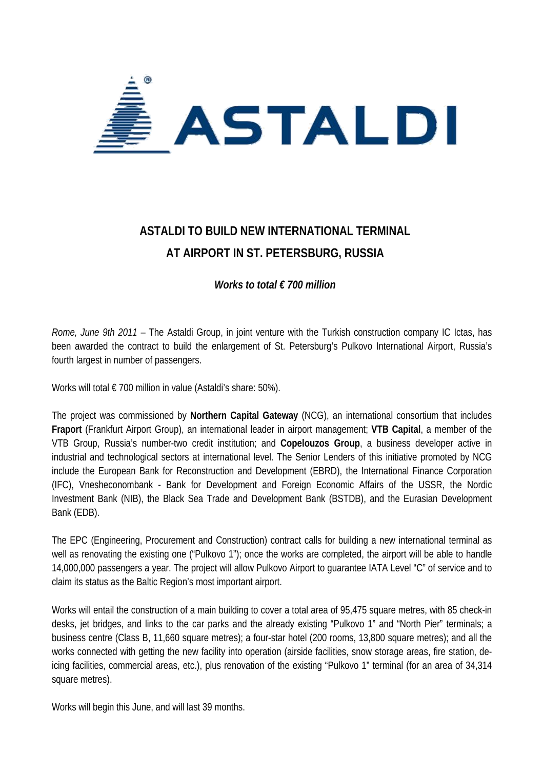

## **ASTALDI TO BUILD NEW INTERNATIONAL TERMINAL AT AIRPORT IN ST. PETERSBURG, RUSSIA**

*Works to total € 700 million*

*Rome, June 9th 2011* – The Astaldi Group, in joint venture with the Turkish construction company IC Ictas, has been awarded the contract to build the enlargement of St. Petersburg's Pulkovo International Airport, Russia's fourth largest in number of passengers.

Works will total € 700 million in value (Astaldi's share: 50%).

The project was commissioned by **Northern Capital Gateway** (NCG), an international consortium that includes **Fraport** (Frankfurt Airport Group), an international leader in airport management; **VTB Capital**, a member of the VTB Group, Russia's number-two credit institution; and **Copelouzos Group**, a business developer active in industrial and technological sectors at international level. The Senior Lenders of this initiative promoted by NCG include the European Bank for Reconstruction and Development (EBRD), the International Finance Corporation (IFC), Vnesheconombank - Bank for Development and Foreign Economic Affairs of the USSR, the Nordic Investment Bank (NIB), the Black Sea Trade and Development Bank (BSTDB), and the Eurasian Development Bank (EDB).

The EPC (Engineering, Procurement and Construction) contract calls for building a new international terminal as well as renovating the existing one ("Pulkovo 1"); once the works are completed, the airport will be able to handle 14,000,000 passengers a year. The project will allow Pulkovo Airport to guarantee IATA Level "C" of service and to claim its status as the Baltic Region's most important airport.

Works will entail the construction of a main building to cover a total area of 95,475 square metres, with 85 check-in desks, jet bridges, and links to the car parks and the already existing "Pulkovo 1" and "North Pier" terminals; a business centre (Class B, 11,660 square metres); a four-star hotel (200 rooms, 13,800 square metres); and all the works connected with getting the new facility into operation (airside facilities, snow storage areas, fire station, deicing facilities, commercial areas, etc.), plus renovation of the existing "Pulkovo 1" terminal (for an area of 34,314 square metres).

Works will begin this June, and will last 39 months.